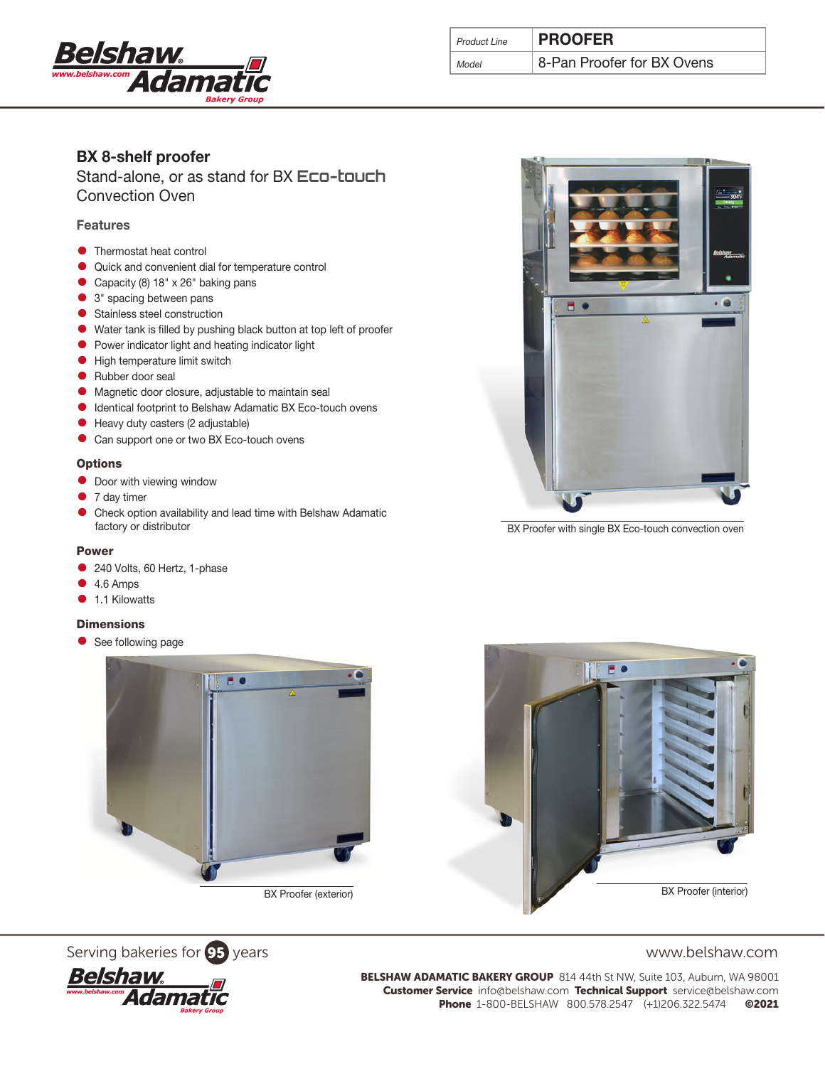

| Product Line | <b>PROOFER</b>             |
|--------------|----------------------------|
|              | 8-Pan Proofer for BX Ovens |

# BX 8-shelf proofer

Stand-alone, or as stand for BX **Eco-touch** Convection Oven

# **Features**

- **•** Thermostat heat control
- Quick and convenient dial for temperature control
- Capacity (8) 18" x 26" baking pans
- 3" spacing between pans
- **•** Stainless steel construction
- Water tank is filled by pushing black button at top left of proofer
- Power indicator light and heating indicator light
- **•** High temperature limit switch
- Rubber door seal
- Magnetic door closure, adjustable to maintain seal
- Identical footprint to Belshaw Adamatic BX Eco-touch ovens
- Heavy duty casters (2 adjustable)
- Can support one or two BX Eco-touch ovens

### **Options**

- **•** Door with viewing window
- 7 day timer
- Check option availability and lead time with Belshaw Adamatic factory or distributor

#### Power

- 240 Volts, 60 Hertz, 1-phase
- $\bullet$  4.6 Amps
- **1.1 Kilowatts**

### **Dimensions**

• See following page



BX Proofer (exterior)





BELSHAW ADAMATIC BAKERY GROUP 814 44th St NW, Suite 103, Auburn, WA 98001 Customer Service info@belshaw.com Technical Support service@belshaw.com Phone 1-800-BELSHAW 800.578.2547 (+1)206.322.5474 ©2021



BX Proofer with single BX Eco-touch convection oven